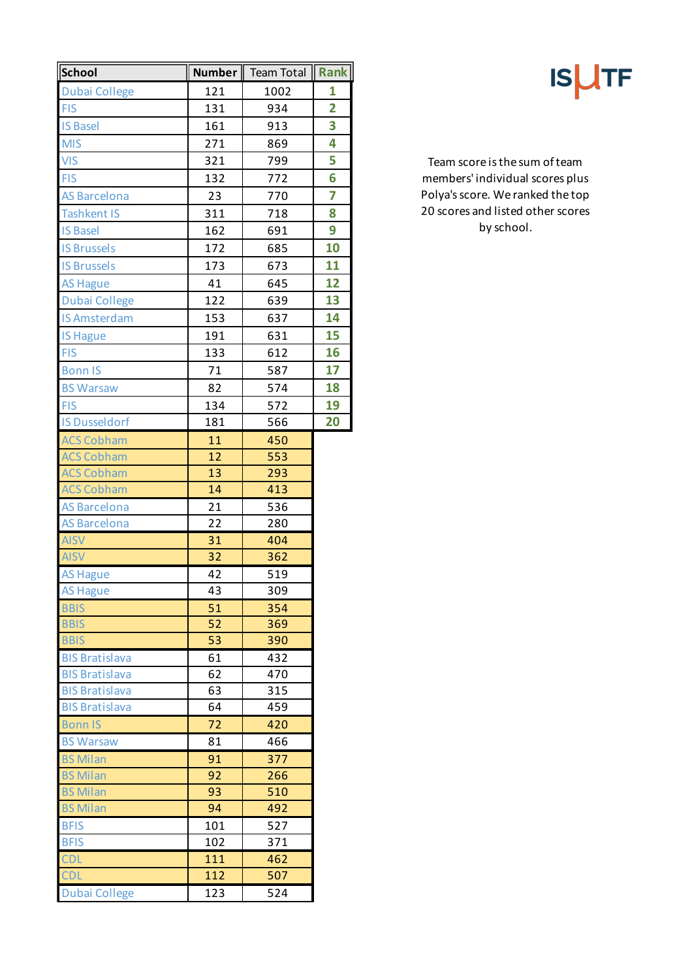| School                     | Number   | <b>Team Total</b> | Rank           |
|----------------------------|----------|-------------------|----------------|
| <b>Dubai College</b>       | 121      | 1002              | 1              |
| <b>FIS</b>                 | 131      | 934               | $\overline{2}$ |
| <b>IS Basel</b>            | 161      | 913               | 3              |
| <b>MIS</b>                 | 271      | 869               | 4              |
| <b>VIS</b>                 | 321      | 799               | 5              |
| <b>FIS</b>                 | 132      | 772               | 6              |
| <b>AS Barcelona</b>        | 23       | 770               | 7              |
| <b>Tashkent IS</b>         | 311      | 718               | 8              |
| <b>IS Basel</b>            | 162      | 691               | 9              |
| <b>IS Brussels</b>         | 172      | 685               | 10             |
| <b>IS Brussels</b>         | 173      | 673               | 11             |
| <b>AS Hague</b>            | 41       | 645               | 12             |
| <b>Dubai College</b>       | 122      | 639               | 13             |
| <b>IS Amsterdam</b>        | 153      | 637               | 14             |
| <b>IS Hague</b>            | 191      | 631               | 15             |
| <b>FIS</b>                 | 133      | 612               | 16             |
| <b>Bonn IS</b>             | 71       | 587               | 17             |
| <b>BS Warsaw</b>           | 82       | 574               | 18             |
| <b>FIS</b>                 | 134      | 572               | 19             |
| <b>IS Dusseldorf</b>       | 181      | 566               | 20             |
| <b>ACS Cobham</b>          | 11       | 450               |                |
| <b>ACS Cobham</b>          | 12       | 553               |                |
| <b>ACS Cobham</b>          | 13       | 293               |                |
| <b>ACS Cobham</b>          | 14       | 413               |                |
| <b>AS Barcelona</b>        | 21       | 536               |                |
| <b>AS Barcelona</b>        | 22       | 280               |                |
| <b>AISV</b>                | 31       | 404               |                |
| <b>AISV</b>                | 32       | 362               |                |
| <b>AS Hague</b>            | 42       | 519               |                |
| <b>AS Hague</b>            | 43       | 309               |                |
| <b>BBIS</b>                | 51       | 354               |                |
| <b>BBIS</b><br><b>BBIS</b> | 52       | 369               |                |
| <b>BIS Bratislava</b>      | 53       | 390<br>432        |                |
| <b>BIS Bratislava</b>      | 61<br>62 | 470               |                |
| <b>BIS Bratislava</b>      | 63       | 315               |                |
| <b>BIS Bratislava</b>      | 64       | 459               |                |
| <b>Bonn IS</b>             | 72       | 420               |                |
| <b>BS Warsaw</b>           | 81       | 466               |                |
| <b>BS Milan</b>            | 91       | 377               |                |
| <b>BS Milan</b>            | 92       | 266               |                |
| <b>BS Milan</b>            | 93       | 510               |                |
| <b>BS Milan</b>            | 94       | 492               |                |
| <b>BFIS</b>                | 101      | 527               |                |
| <b>BFIS</b>                | 102      | 371               |                |
| CDL                        | 111      | 462               |                |
| <b>CDL</b>                 | 112      | 507               |                |
| <b>Dubai College</b>       | 123      | 524               |                |

**ISUTF** 

Team score is the sum of team members' individual scores plus Polya's score. We ranked the top 20 scores and listed other scores by school.